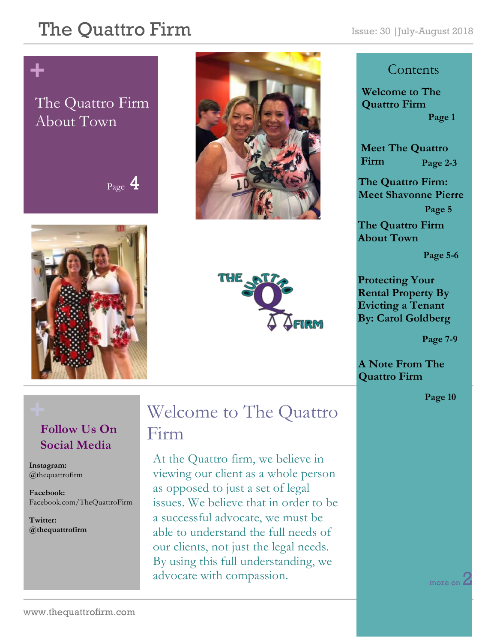#### The Quattro Firm Issue: 30 |July-August 2018

## **+**

#### The Quattro Firm About Town

Page 4







#### **Contents**

**Welcome to The Quattro Firm Page 1**

**Meet The Quattro Firm Page 2-3**

**The Quattro Firm: Meet Shavonne Pierre Page 5**

**The Quattro Firm About Town**

**Page 5-6**

**Protecting Your Rental Property By Evicting a Tenant By: Carol Goldberg**

 **Page 7-9**

**A Note From The Quattro Firm** 

**Page 10**

#### **Follow Us On Social Media**

**Instagram:**  @thequattrofirm

**Facebook:** Facebook.com/TheQuattroFirm

**Twitter: @thequattrofirm**

#### **+** Welcome to The Quattro Firm

At the Quattro firm, we believe in viewing our client as a whole person as opposed to just a set of legal issues. We believe that in order to be a successful advocate, we must be able to understand the full needs of our clients, not just the legal needs. By using this full understanding, we advocate with compassion.

more on Z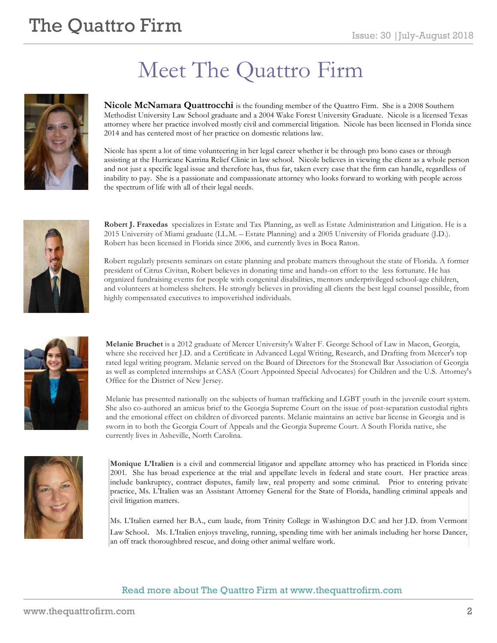## **The Quattro Firm**  $\sum_{\text{Issue: 30 |} \text{July-August 2018}}$

# Meet The Quattro Firm

**Nicole McNamara Quattrocchi** is the founding member of the Quattro Firm. She is a 2008 Southern Methodist University Law School graduate and a 2004 Wake Forest University Graduate. Nicole is a licensed Texas attorney where her practice involved mostly civil and commercial litigation. Nicole has been licensed in Florida since 2014 and has centered most of her practice on domestic relations law.

Nicole has spent a lot of time volunteering in her legal career whether it be through pro bono cases or through assisting at the Hurricane Katrina Relief Clinic in law school. Nicole believes in viewing the client as a whole person and not just a specific legal issue and therefore has, thus far, taken every case that the firm can handle, regardless of inability to pay. She is a passionate and compassionate attorney who looks forward to working with people across the spectrum of life with all of their legal needs.



**Robert J. Fraxedas** specializes in Estate and Tax Planning, as well as Estate Administration and Litigation. He is a 2015 University of Miami graduate (LL.M. – Estate Planning) and a 2005 University of Florida graduate (J.D.). Robert has been licensed in Florida since 2006, and currently lives in Boca Raton.

Robert regularly presents seminars on estate planning and probate matters throughout the state of Florida. A former president of Citrus Civitan, Robert believes in donating time and hands-on effort to the less fortunate. He has organized fundraising events for people with congenital disabilities, mentors underprivileged school-age children, and volunteers at homeless shelters. He strongly believes in providing all clients the best legal counsel possible, from highly compensated executives to impoverished individuals.



**Melanie Bruchet** is a 2012 graduate of Mercer University's Walter F. George School of Law in Macon, Georgia, where she received her J.D. and a Certificate in Advanced Legal Writing, Research, and Drafting from Mercer's top rated legal writing program. Melanie served on the Board of Directors for the Stonewall Bar Association of Georgia as well as completed internships at CASA (Court Appointed Special Advocates) for Children and the U.S. Attorney's Office for the District of New Jersey.

Melanie has presented nationally on the subjects of human trafficking and LGBT youth in the juvenile court system. She also co-authored an amicus brief to the Georgia Supreme Court on the issue of post-separation custodial rights and the emotional effect on children of divorced parents. Melanie maintains an active bar license in Georgia and is sworn in to both the Georgia Court of Appeals and the Georgia Supreme Court. A South Florida native, she currently lives in Asheville, North Carolina.



**Monique L'Italien** is a civil and commercial litigator and appellate attorney who has practiced in Florida since 2001. She has broad experience at the trial and appellate levels in federal and state court. Her practice areas include bankruptcy, contract disputes, family law, real property and some criminal. Prior to entering private practice, Ms. L'Italien was an Assistant Attorney General for the State of Florida, handling criminal appeals and civil litigation matters.

Ms. L'Italien earned her B.A., cum laude, from Trinity College in Washington D.C and her J.D. from Vermont Law School. Ms. L'Italien enjoys traveling, running, spending time with her animals including her horse Dancer, an off track thoroughbred rescue, and doing other animal welfare work.

#### Read more about The Quattro Firm at www.thequattrofirm.com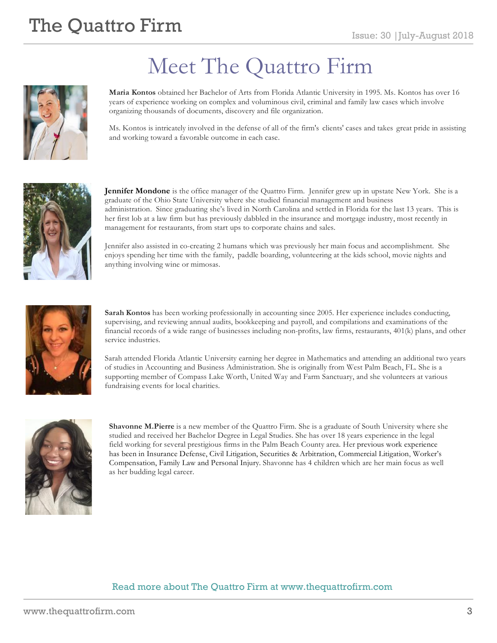## **The Quattro Firm**  $\sum_{\text{Issue: 30 |} \text{July-August 2018}}$



# Meet The Quattro Firm

**Maria Kontos** obtained her Bachelor of Arts from Florida Atlantic University in 1995. Ms. Kontos has over 16 years of experience working on complex and voluminous civil, criminal and family law cases which involve organizing thousands of documents, discovery and file organization.

Ms. Kontos is intricately involved in the defense of all of the firm's clients' cases and takes great pride in assisting and working toward a favorable outcome in each case.



**Jennifer Mondone** is the office manager of the Quattro Firm. Jennifer grew up in upstate New York. She is a graduate of the Ohio State University where she studied financial management and business administration. Since graduating she's lived in North Carolina and settled in Florida for the last 13 years. This is her first lob at a law firm but has previously dabbled in the insurance and mortgage industry, most recently in management for restaurants, from start ups to corporate chains and sales.

Jennifer also assisted in co-creating 2 humans which was previously her main focus and accomplishment. She enjoys spending her time with the family, paddle boarding, volunteering at the kids school, movie nights and anything involving wine or mimosas.



**Sarah Kontos** has been working professionally in accounting since 2005. Her experience includes conducting, supervising, and reviewing annual audits, bookkeeping and payroll, and compilations and examinations of the financial records of a wide range of businesses including non-profits, law firms, restaurants, 401(k) plans, and other service industries.

Sarah attended Florida Atlantic University earning her degree in Mathematics and attending an additional two years of studies in Accounting and Business Administration. She is originally from West Palm Beach, FL. She is a supporting member of Compass Lake Worth, United Way and Farm Sanctuary, and she volunteers at various fundraising events for local charities.



**Shavonne M.Pierre** is a new member of the Quattro Firm. She is a graduate of South University where she studied and received her Bachelor Degree in Legal Studies. She has over 18 years experience in the legal field working for several prestigious firms in the Palm Beach County area. Her previous work experience has been in Insurance Defense, Civil Litigation, Securities & Arbitration, Commercial Litigation, Worker's Compensation, Family Law and Personal Injury. Shavonne has 4 children which are her main focus as well as her budding legal career.

#### Read more about The Quattro Firm at www.thequattrofirm.com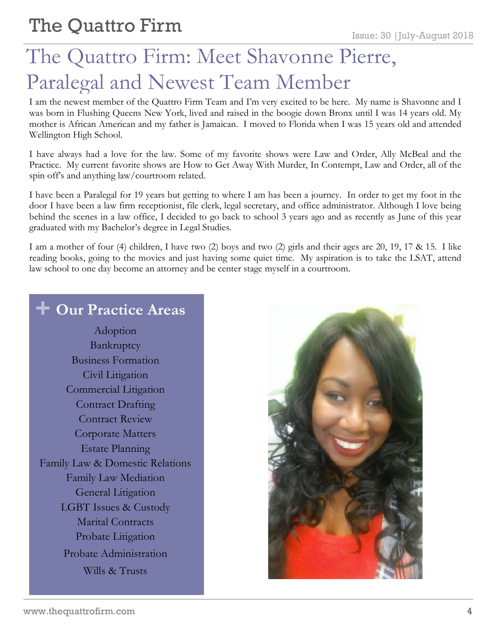## The Quattro Firm: Meet Shavonne Pierre, Paralegal and Newest Team Member

I am the newest member of the Quattro Firm Team and I'm very excited to be here. My name is Shavonne and I was born in Flushing Queens New York, lived and raised in the boogie down Bronx until I was 14 years old. My mother is African American and my father is Jamaican. I moved to Florida when I was 15 years old and attended Wellington High School.

I have always had a love for the law. Some of my favorite shows were Law and Order, Ally McBeal and the Practice. My current favorite shows are How to Get Away With Murder, In Contempt, Law and Order, all of the spin off's and anything law/courtroom related.

I have been a Paralegal for 19 years but getting to where I am has been a journey. In order to get my foot in the door I have been a law firm receptionist, file clerk, legal secretary, and office administrator. Although I love being behind the scenes in a law office, I decided to go back to school 3 years ago and as recently as June of this year graduated with my Bachelor's degree in Legal Studies.

I am a mother of four (4) children, I have two (2) boys and two (2) girls and their ages are 20, 19, 17 & 15. I like reading books, going to the movies and just having some quiet time. My aspiration is to take the LSAT, attend law school to one day become an attorney and be center stage myself in a courtroom.

#### **+ Our Practice Areas**

Adoption Bankruptcy Business Formation Civil Litigation Commercial Litigation Contract Drafting Contract Review Corporate Matters Estate Planning Family Law & Domestic Relations Family Law Mediation General Litigation LGBT Issues & Custody Marital Contracts Probate Litigation Probate Administration Wills & Trusts

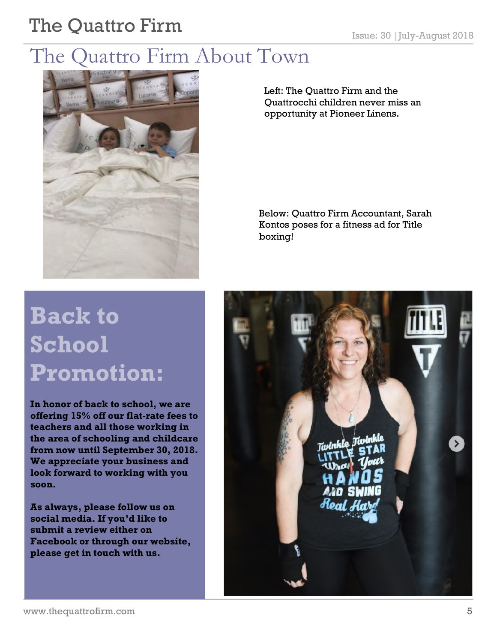# The Quattro Firm Issue: 30 |July-August 2018

### The Quattro Firm About Town



**Back to School Promotion:**

**In honor of back to school, we are offering 15% off our flat-rate fees to teachers and all those working in the area of schooling and childcare from now until September 30, 2018. We appreciate your business and look forward to working with you soon.**

**As always, please follow us on social media. If you'd like to submit a review either on Facebook or through our website, please get in touch with us.** 

Left: The Quattro Firm and the Quattrocchi children never miss an opportunity at Pioneer Linens.

Below: Quattro Firm Accountant, Sarah Kontos poses for a fitness ad for Title boxing!

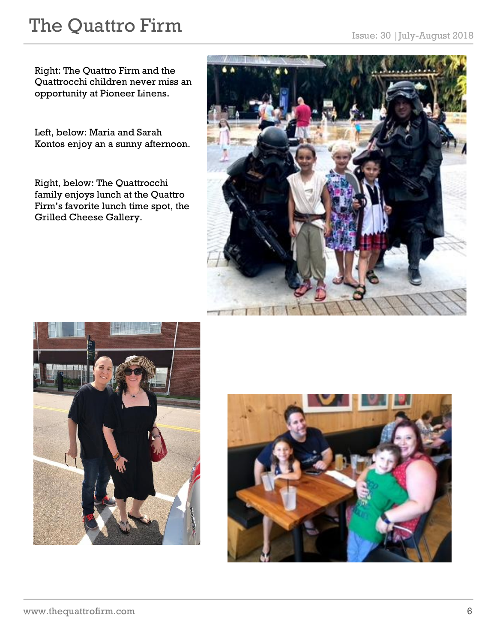# The Quattro Firm Issue: 30 |July-August 2018

Right: The Quattro Firm and the Quattrocchi children never miss an opportunity at Pioneer Linens.

Left, below: Maria and Sarah Kontos enjoy an a sunny afternoon.

Right, below: The Quattrocchi family enjoys lunch at the Quattro Firm's favorite lunch time spot, the Grilled Cheese Gallery.





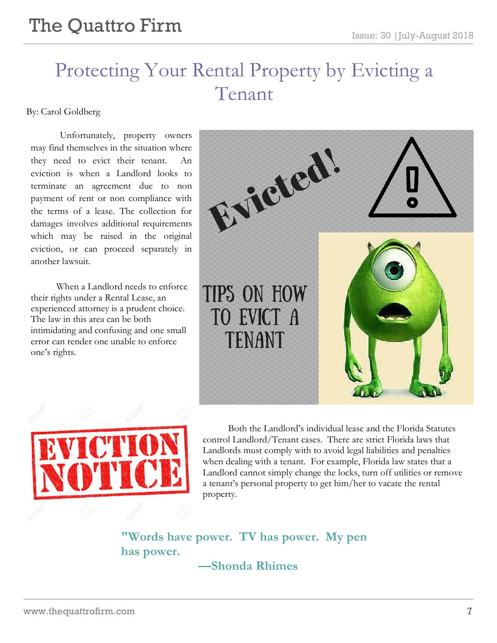#### Protecting Your Rental Property by Evicting a Tenant

By: Carol Goldberg

Unfortunately, property owners may find themselves in the situation where they need to evict their tenant. eviction is when a Landlord looks to terminate an agreement due to non payment of rent or non compliance with the terms of a lease. The collection for damages involves additional requirements which may be raised in the original eviction, or can proceed separately in another lawsuit.

When a Landlord needs to enforce their rights under a Rental Lease, an experienced attorney is a prudent choice. The law in this area can be both intimidating and confusing and one small error can render one unable to enforce one's rights.





Both the Landlord's individual lease and the Florida Statutes control Landlord/Tenant cases. There are strict Florida laws that Landlords must comply with to avoid legal liabilities and penalties when dealing with a tenant. For example, Florida law states that a Landlord cannot simply change the locks, turn off utilities or remove a tenant's personal property to get him/her to vacate the rental property.

**"Words have power. TV has power. My pen has power.**

**—Shonda Rhimes**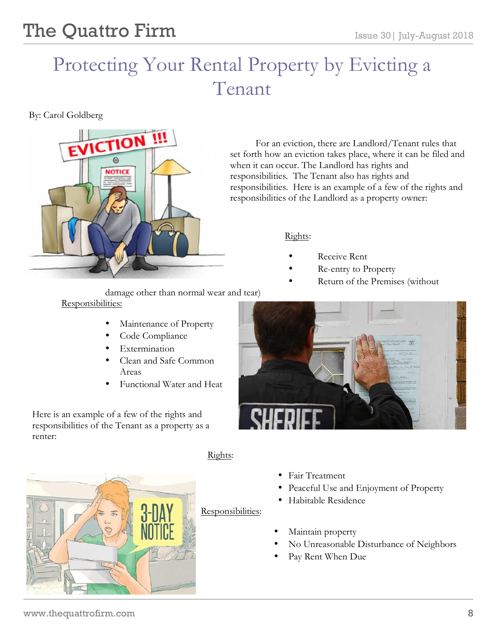## Protecting Your Rental Property by Evicting a Tenant

By: Carol Goldberg



damage other than normal wear and tear) Responsibilities:

- Maintenance of Property
- Code Compliance
- **Extermination**
- Clean and Safe Common Areas
- Functional Water and Heat

Here is an example of a few of the rights and responsibilities of the Tenant as a property as a renter:



Rights:

j

For an eviction, there are Landlord/Tenant rules that set forth how an eviction takes place, where it can be filed and when it can occur. The Landlord has rights and responsibilities. The Tenant also has rights and responsibilities. Here is an example of a few of the rights and responsibilities of the Landlord as a property owner:

#### Rights:

- Receive Rent
- Re-entry to Property
- Return of the Premises (without



- Fair Treatment
- Peaceful Use and Enjoyment of Property
- Habitable Residence
- Maintain property
	- No Unreasonable Disturbance of Neighbors
	- Pay Rent When Due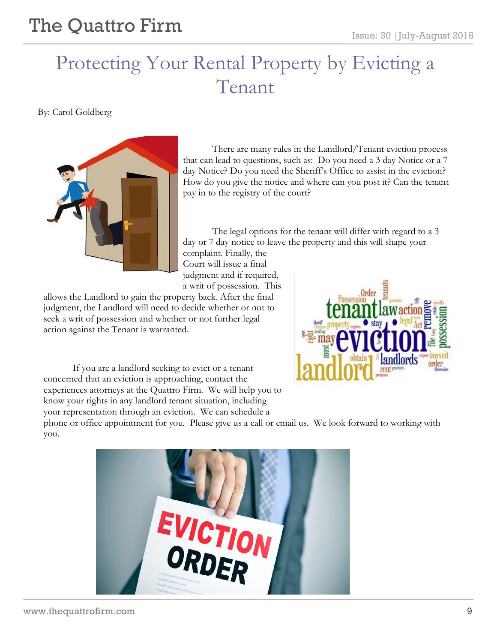### Protecting Your Rental Property by Evicting a Tenant

By: Carol Goldberg



There are many rules in the Landlord/Tenant eviction process that can lead to questions, such as: Do you need a 3 day Notice or a 7 day Notice? Do you need the Sheriff's Office to assist in the eviction? How do you give the notice and where can you post it? Can the tenant pay in to the registry of the court?

The legal options for the tenant will differ with regard to a 3 day or 7 day notice to leave the property and this will shape your

complaint. Finally, the Court will issue a final judgment and if required, a writ of possession. This

allows the Landlord to gain the property back. After the final judgment, the Landlord will need to decide whether or not to seek a writ of possession and whether or not further legal action against the Tenant is warranted.

If you are a landlord seeking to evict or a tenant concerned that an eviction is approaching, contact the experiences attorneys at the Quattro Firm. We will help you to know your rights in any landlord tenant situation, including your representation through an eviction. We can schedule a



phone or office appointment for you. Please give us a call or email us. We look forward to working with you.